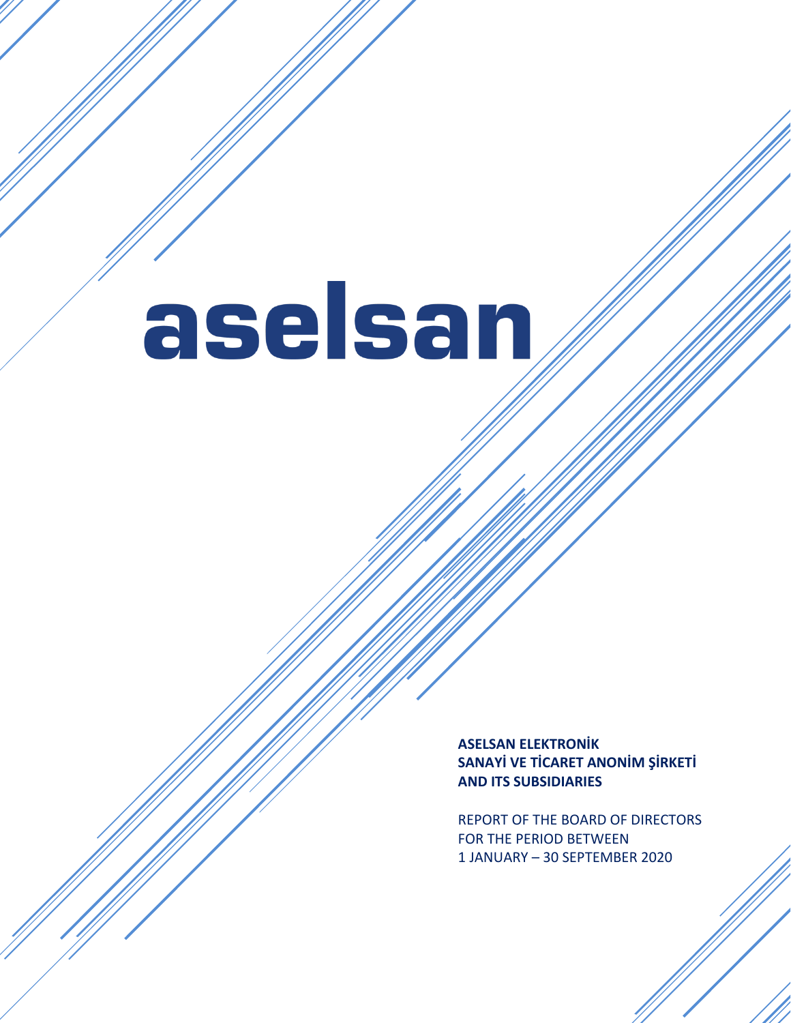aselsan

**ASELSAN ELEKTRONİK SANAYİ VE TİCARET ANONİM ŞİRKETİ AND ITS SUBSIDIARIES**

REPORT OF THE BOARD OF DIRECTORS FOR THE PERIOD BETWEEN 1 JANUARY – 30 SEPTEMBER 2020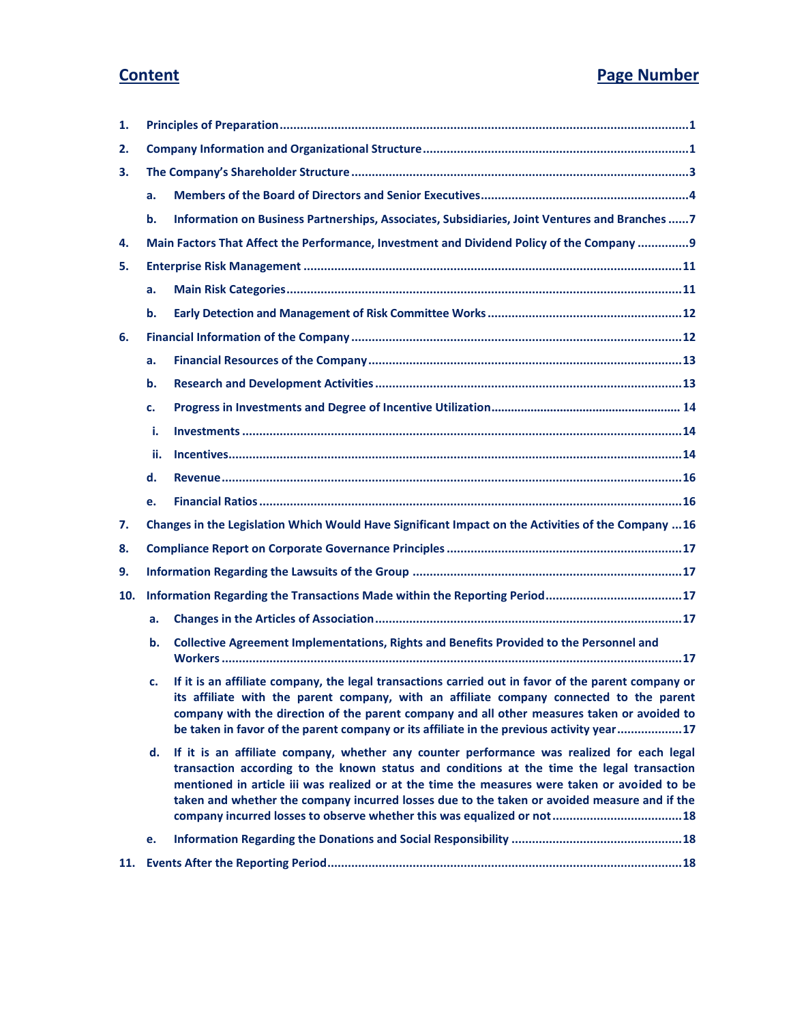# **Content Page Number**

| 1.  |     |                                                                                                                                                                                                                                                                                                                                                                                            |  |  |
|-----|-----|--------------------------------------------------------------------------------------------------------------------------------------------------------------------------------------------------------------------------------------------------------------------------------------------------------------------------------------------------------------------------------------------|--|--|
| 2.  |     |                                                                                                                                                                                                                                                                                                                                                                                            |  |  |
| З.  |     |                                                                                                                                                                                                                                                                                                                                                                                            |  |  |
|     | a.  |                                                                                                                                                                                                                                                                                                                                                                                            |  |  |
|     | b.  | Information on Business Partnerships, Associates, Subsidiaries, Joint Ventures and Branches  7                                                                                                                                                                                                                                                                                             |  |  |
| 4.  |     | Main Factors That Affect the Performance, Investment and Dividend Policy of the Company  9                                                                                                                                                                                                                                                                                                 |  |  |
| 5.  |     |                                                                                                                                                                                                                                                                                                                                                                                            |  |  |
|     | a.  |                                                                                                                                                                                                                                                                                                                                                                                            |  |  |
|     | b.  |                                                                                                                                                                                                                                                                                                                                                                                            |  |  |
| 6.  |     |                                                                                                                                                                                                                                                                                                                                                                                            |  |  |
|     | a.  |                                                                                                                                                                                                                                                                                                                                                                                            |  |  |
|     | b.  |                                                                                                                                                                                                                                                                                                                                                                                            |  |  |
|     | c.  |                                                                                                                                                                                                                                                                                                                                                                                            |  |  |
|     | i.  |                                                                                                                                                                                                                                                                                                                                                                                            |  |  |
|     | ii. |                                                                                                                                                                                                                                                                                                                                                                                            |  |  |
|     | d.  |                                                                                                                                                                                                                                                                                                                                                                                            |  |  |
|     | e.  |                                                                                                                                                                                                                                                                                                                                                                                            |  |  |
| 7.  |     | Changes in the Legislation Which Would Have Significant Impact on the Activities of the Company  16                                                                                                                                                                                                                                                                                        |  |  |
| 8.  |     |                                                                                                                                                                                                                                                                                                                                                                                            |  |  |
| 9.  |     |                                                                                                                                                                                                                                                                                                                                                                                            |  |  |
| 10. |     | Information Regarding the Transactions Made within the Reporting Period17                                                                                                                                                                                                                                                                                                                  |  |  |
|     | a.  |                                                                                                                                                                                                                                                                                                                                                                                            |  |  |
|     | b.  | Collective Agreement Implementations, Rights and Benefits Provided to the Personnel and                                                                                                                                                                                                                                                                                                    |  |  |
|     | c.  | If it is an affiliate company, the legal transactions carried out in favor of the parent company or<br>its affiliate with the parent company, with an affiliate company connected to the parent<br>company with the direction of the parent company and all other measures taken or avoided to<br>be taken in favor of the parent company or its affiliate in the previous activity year17 |  |  |
|     | d.  | If it is an affiliate company, whether any counter performance was realized for each legal<br>transaction according to the known status and conditions at the time the legal transaction<br>mentioned in article iii was realized or at the time the measures were taken or avoided to be<br>taken and whether the company incurred losses due to the taken or avoided measure and if the  |  |  |
|     | e.  |                                                                                                                                                                                                                                                                                                                                                                                            |  |  |
| 11. |     |                                                                                                                                                                                                                                                                                                                                                                                            |  |  |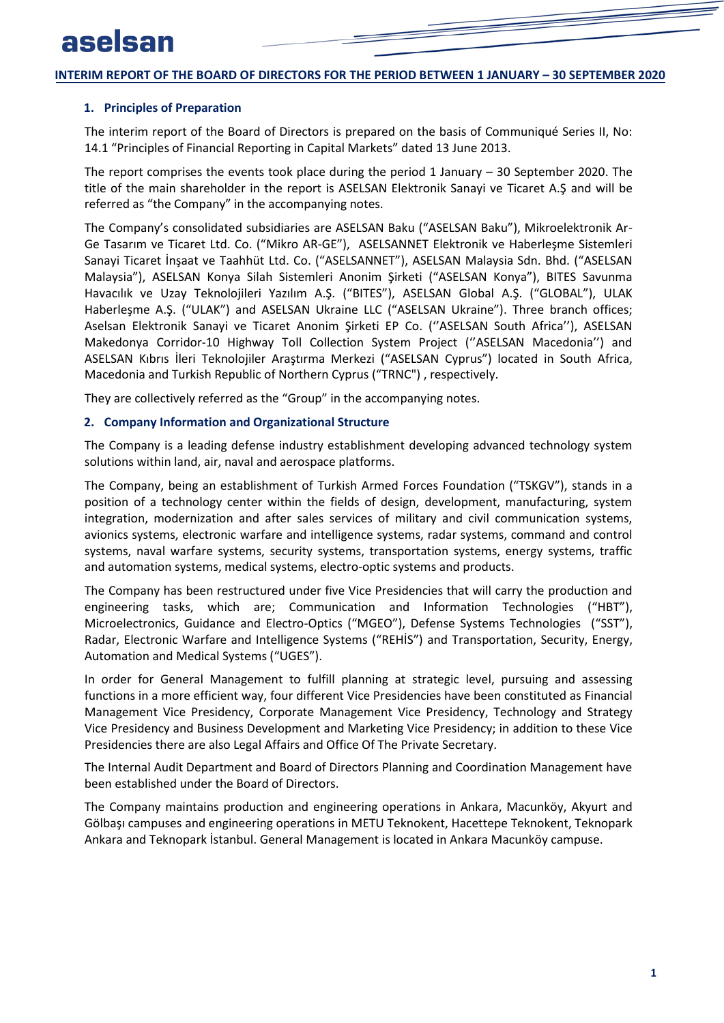### <span id="page-2-0"></span>**1. Principles of Preparation**

The interim report of the Board of Directors is prepared on the basis of Communiqué Series II, No: 14.1 "Principles of Financial Reporting in Capital Markets" dated 13 June 2013.

The report comprises the events took place during the period 1 January – 30 September 2020. The title of the main shareholder in the report is ASELSAN Elektronik Sanayi ve Ticaret A.Ş and will be referred as "the Company" in the accompanying notes.

The Company's consolidated subsidiaries are ASELSAN Baku ("ASELSAN Baku"), Mikroelektronik Ar-Ge Tasarım ve Ticaret Ltd. Co. ("Mikro AR-GE"), ASELSANNET Elektronik ve Haberleşme Sistemleri Sanayi Ticaret İnşaat ve Taahhüt Ltd. Co. ("ASELSANNET"), ASELSAN Malaysia Sdn. Bhd. ("ASELSAN Malaysia"), ASELSAN Konya Silah Sistemleri Anonim Şirketi ("ASELSAN Konya"), BITES Savunma Havacılık ve Uzay Teknolojileri Yazılım A.Ş. ("BITES"), ASELSAN Global A.Ş. ("GLOBAL"), ULAK Haberleşme A.Ş. ("ULAK") and ASELSAN Ukraine LLC ("ASELSAN Ukraine"). Three branch offices; Aselsan Elektronik Sanayi ve Ticaret Anonim Şirketi EP Co. (''ASELSAN South Africa''), ASELSAN Makedonya Corridor-10 Highway Toll Collection System Project (''ASELSAN Macedonia'') and ASELSAN Kıbrıs İleri Teknolojiler Araştırma Merkezi ("ASELSAN Cyprus") located in South Africa, Macedonia and Turkish Republic of Northern Cyprus ("TRNC") , respectively.

<span id="page-2-1"></span>They are collectively referred as the "Group" in the accompanying notes.

### **2. Company Information and Organizational Structure**

The Company is a leading defense industry establishment developing advanced technology system solutions within land, air, naval and aerospace platforms.

The Company, being an establishment of Turkish Armed Forces Foundation ("TSKGV"), stands in a position of a technology center within the fields of design, development, manufacturing, system integration, modernization and after sales services of military and civil communication systems, avionics systems, electronic warfare and intelligence systems, radar systems, command and control systems, naval warfare systems, security systems, transportation systems, energy systems, traffic and automation systems, medical systems, electro-optic systems and products.

The Company has been restructured under five Vice Presidencies that will carry the production and engineering tasks, which are; Communication and Information Technologies ("HBT"), Microelectronics, Guidance and Electro-Optics ("MGEO"), Defense Systems Technologies ("SST"), Radar, Electronic Warfare and Intelligence Systems ("REHİS") and Transportation, Security, Energy, Automation and Medical Systems ("UGES").

In order for General Management to fulfill planning at strategic level, pursuing and assessing functions in a more efficient way, four different Vice Presidencies have been constituted as Financial Management Vice Presidency, Corporate Management Vice Presidency, Technology and Strategy Vice Presidency and Business Development and Marketing Vice Presidency; in addition to these Vice Presidencies there are also Legal Affairs and Office Of The Private Secretary.

The Internal Audit Department and Board of Directors Planning and Coordination Management have been established under the Board of Directors.

The Company maintains production and engineering operations in Ankara, Macunköy, Akyurt and Gölbaşı campuses and engineering operations in METU Teknokent, Hacettepe Teknokent, Teknopark Ankara and Teknopark İstanbul. General Management is located in Ankara Macunköy campuse.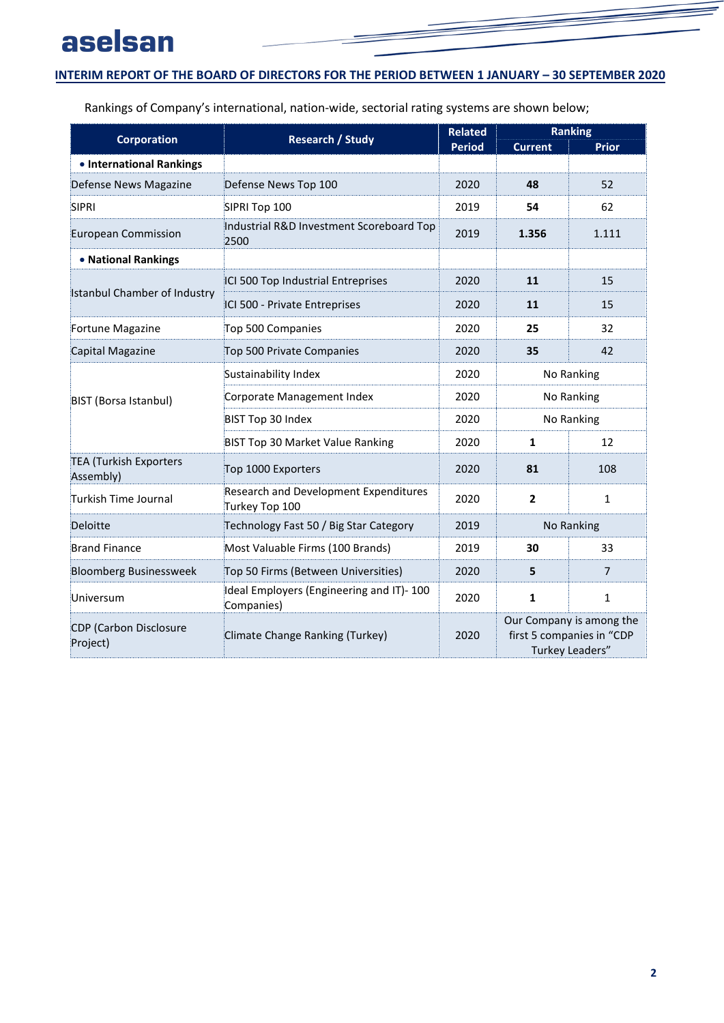# aselsan

## **INTERIM REPORT OF THE BOARD OF DIRECTORS FOR THE PERIOD BETWEEN 1 JANUARY - 30 SEPTEMBER 2020**

Rankings of Company's international, nation-wide, sectorial rating systems are shown below;

|                                            | <b>Research / Study</b>                                 | <b>Related</b> | <b>Ranking</b>                                                           |              |  |
|--------------------------------------------|---------------------------------------------------------|----------------|--------------------------------------------------------------------------|--------------|--|
| <b>Corporation</b>                         |                                                         | <b>Period</b>  | <b>Current</b>                                                           | <b>Prior</b> |  |
| • International Rankings                   |                                                         |                |                                                                          |              |  |
| Defense News Magazine                      | Defense News Top 100                                    | 2020           | 48                                                                       | 52           |  |
| <b>SIPRI</b>                               | SIPRI Top 100                                           | 2019           | 54                                                                       | 62           |  |
| <b>European Commission</b>                 | Industrial R&D Investment Scoreboard Top<br>2500        | 2019           | 1.356                                                                    | 1.111        |  |
| • National Rankings                        |                                                         |                |                                                                          |              |  |
|                                            | ICI 500 Top Industrial Entreprises                      | 2020           | 11                                                                       | 15           |  |
| <b>Istanbul Chamber of Industry</b>        | ICI 500 - Private Entreprises                           | 2020           | 11                                                                       | 15           |  |
| Fortune Magazine                           | Top 500 Companies                                       | 2020           | 25                                                                       | 32           |  |
| Capital Magazine                           | Top 500 Private Companies                               | 2020           | 35                                                                       | 42           |  |
|                                            | Sustainability Index                                    | 2020           | No Ranking                                                               |              |  |
| BIST (Borsa Istanbul)                      | Corporate Management Index                              | 2020           | No Ranking                                                               |              |  |
|                                            | BIST Top 30 Index                                       | 2020           | No Ranking                                                               |              |  |
|                                            | <b>BIST Top 30 Market Value Ranking</b>                 | 2020           | $\mathbf{1}$                                                             | 12           |  |
| <b>TEA (Turkish Exporters</b><br>Assembly) | Top 1000 Exporters                                      | 2020           | 81                                                                       | 108          |  |
| Turkish Time Journal                       | Research and Development Expenditures<br>Turkey Top 100 | 2020           | $\overline{2}$                                                           | $\mathbf{1}$ |  |
| Deloitte                                   | Technology Fast 50 / Big Star Category                  | 2019           | No Ranking                                                               |              |  |
| <b>Brand Finance</b>                       | Most Valuable Firms (100 Brands)                        | 2019           | 30                                                                       | 33           |  |
| <b>Bloomberg Businessweek</b>              | Top 50 Firms (Between Universities)                     | 2020           | 5                                                                        | 7            |  |
| Universum                                  | Ideal Employers (Engineering and IT)-100<br>Companies)  | 2020           | $\mathbf{1}$<br>1                                                        |              |  |
| <b>CDP</b> (Carbon Disclosure<br>Project)  | Climate Change Ranking (Turkey)                         | 2020           | Our Company is among the<br>first 5 companies in "CDP<br>Turkey Leaders" |              |  |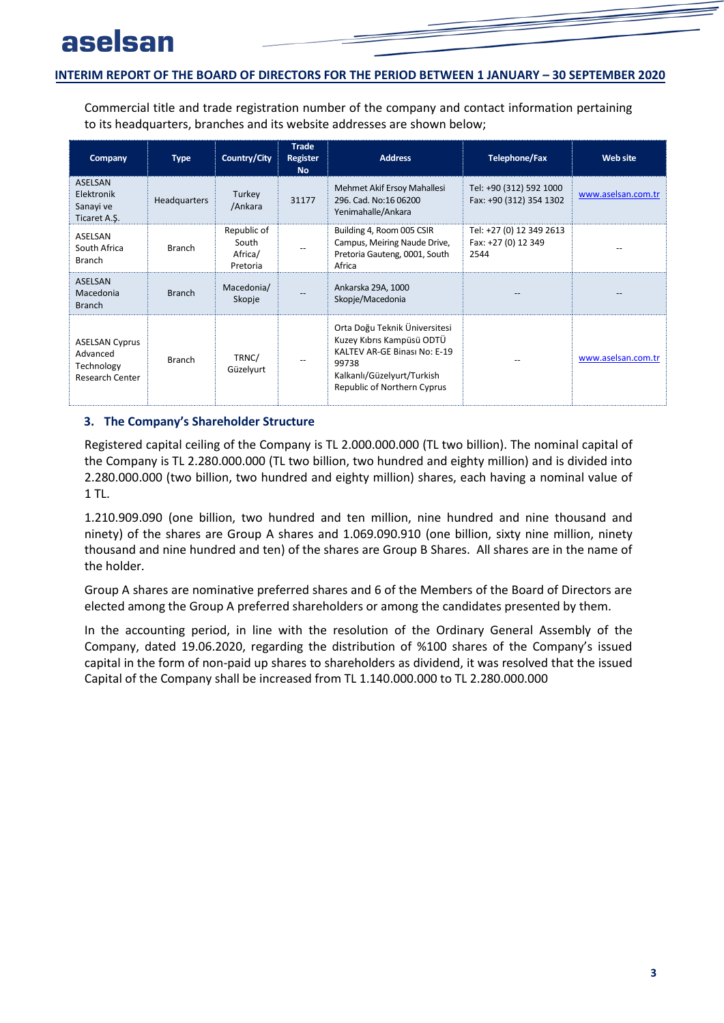Commercial title and trade registration number of the company and contact information pertaining to its headquarters, branches and its website addresses are shown below;

| Company                                                                   | <b>Type</b>         | Country/City                                | <b>Trade</b><br><b>Register</b><br><b>No</b> | <b>Address</b>                                                                                                                                                   | <b>Telephone/Fax</b>                                    | <b>Web site</b>    |
|---------------------------------------------------------------------------|---------------------|---------------------------------------------|----------------------------------------------|------------------------------------------------------------------------------------------------------------------------------------------------------------------|---------------------------------------------------------|--------------------|
| <b>ASELSAN</b><br>Elektronik<br>Sanayi ve<br>Ticaret A.S.                 | <b>Headquarters</b> | Turkey<br>/Ankara                           | 31177                                        | Mehmet Akif Ersoy Mahallesi<br>296. Cad. No:16 06200<br>Yenimahalle/Ankara                                                                                       | Tel: +90 (312) 592 1000<br>Fax: +90 (312) 354 1302      | www.aselsan.com.tr |
| ASELSAN<br>South Africa<br><b>Branch</b>                                  | <b>Branch</b>       | Republic of<br>South<br>Africa/<br>Pretoria |                                              | Building 4, Room 005 CSIR<br>Campus, Meiring Naude Drive,<br>Pretoria Gauteng, 0001, South<br>Africa                                                             | Tel: +27 (0) 12 349 2613<br>Fax: +27 (0) 12 349<br>2544 |                    |
| <b>ASELSAN</b><br>Macedonia<br><b>Branch</b>                              | <b>Branch</b>       | Macedonia/<br>Skopje                        |                                              | Ankarska 29A, 1000<br>Skopje/Macedonia                                                                                                                           |                                                         |                    |
| <b>ASELSAN Cyprus</b><br>Advanced<br>Technology<br><b>Research Center</b> | <b>Branch</b>       | TRNC/<br>Güzelyurt                          |                                              | Orta Doğu Teknik Üniversitesi<br>Kuzey Kıbrıs Kampüsü ODTÜ<br>KALTEV AR-GE Binası No: E-19<br>99738<br>Kalkanlı/Güzelyurt/Turkish<br>Republic of Northern Cyprus |                                                         | www.aselsan.com.tr |

### <span id="page-4-0"></span>**3. The Company's Shareholder Structure**

Registered capital ceiling of the Company is TL 2.000.000.000 (TL two billion). The nominal capital of the Company is TL 2.280.000.000 (TL two billion, two hundred and eighty million) and is divided into 2.280.000.000 (two billion, two hundred and eighty million) shares, each having a nominal value of 1 TL.

1.210.909.090 (one billion, two hundred and ten million, nine hundred and nine thousand and ninety) of the shares are Group A shares and 1.069.090.910 (one billion, sixty nine million, ninety thousand and nine hundred and ten) of the shares are Group B Shares. All shares are in the name of the holder.

Group A shares are nominative preferred shares and 6 of the Members of the Board of Directors are elected among the Group A preferred shareholders or among the candidates presented by them.

In the accounting period, in line with the resolution of the Ordinary General Assembly of the Company, dated 19.06.2020, regarding the distribution of %100 shares of the Company's issued capital in the form of non-paid up shares to shareholders as dividend, it was resolved that the issued Capital of the Company shall be increased from TL 1.140.000.000 to TL 2.280.000.000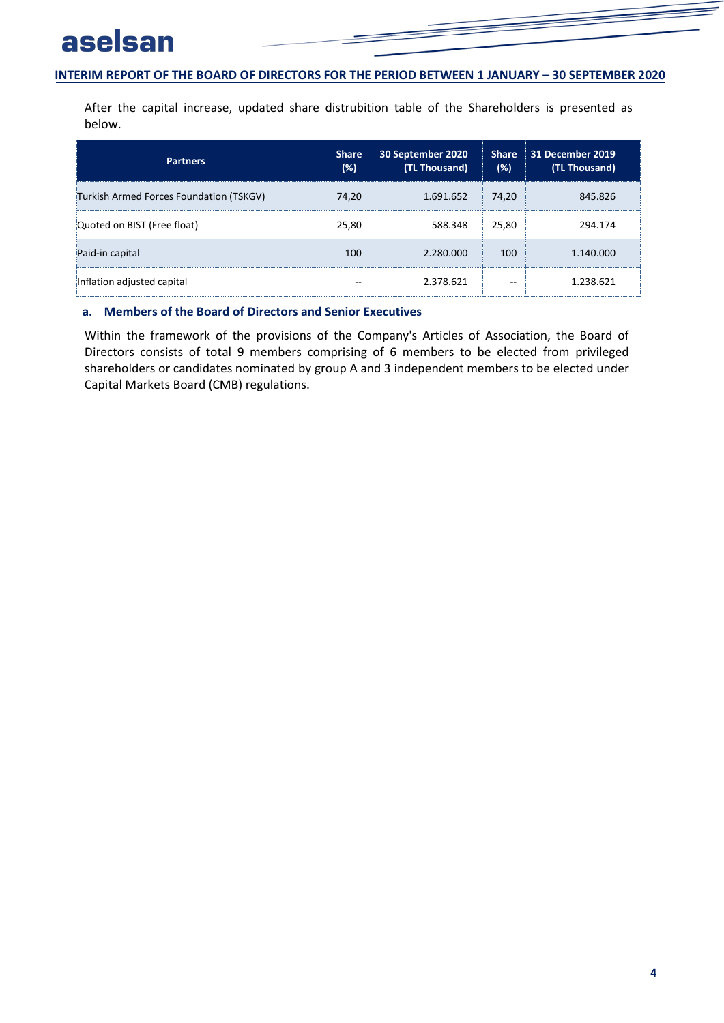# aselsan

### **INTERIM REPORT OF THE BOARD OF DIRECTORS FOR THE PERIOD BETWEEN 1 JANUARY - 30 SEPTEMBER 2020**

After the capital increase, updated share distrubition table of the Shareholders is presented as below.

| <b>Partners</b>                         | <b>Share</b><br>(%) | 30 September 2020<br>(TL Thousand) | <b>Share</b><br>(%) | 31 December 2019<br>(TL Thousand) |
|-----------------------------------------|---------------------|------------------------------------|---------------------|-----------------------------------|
| Turkish Armed Forces Foundation (TSKGV) | 74,20               | 1.691.652                          | 74,20               | 845.826                           |
| Quoted on BIST (Free float)             | 25,80               | 588.348                            | 25,80               | 294.174                           |
| Paid-in capital                         | 100                 | 2.280.000                          | 100                 | 1.140.000                         |
| Inflation adjusted capital              | --                  | 2.378.621                          | --                  | 1.238.621                         |

## <span id="page-5-0"></span>**a. Members of the Board of Directors and Senior Executives**

Within the framework of the provisions of the Company's Articles of Association, the Board of Directors consists of total 9 members comprising of 6 members to be elected from privileged shareholders or candidates nominated by group A and 3 independent members to be elected under Capital Markets Board (CMB) regulations.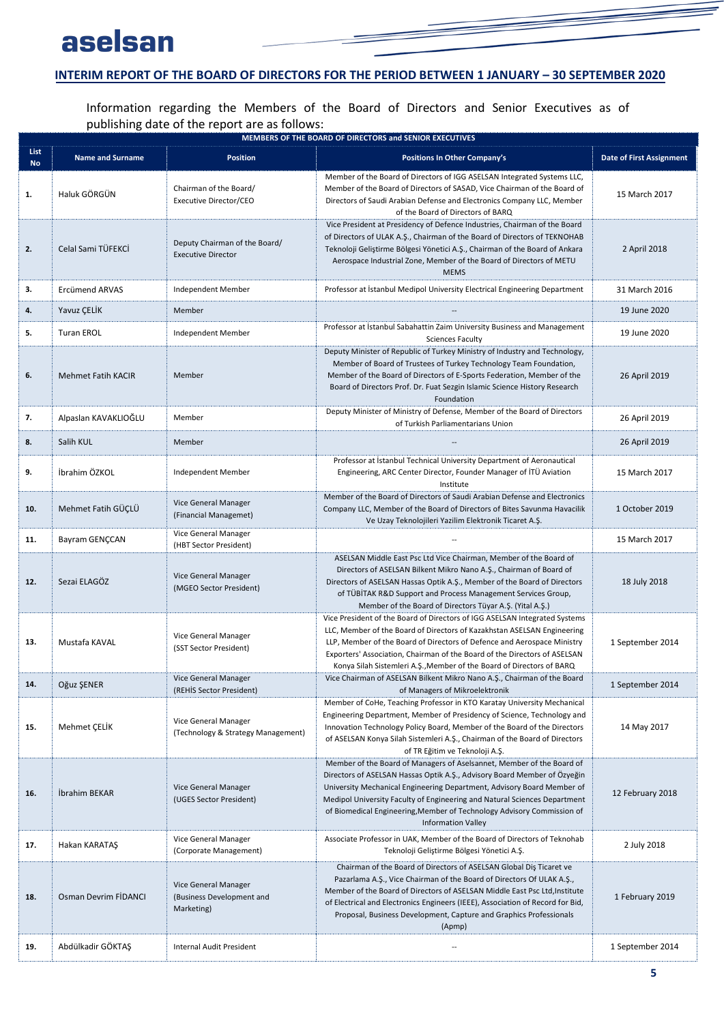# aselsan

## **INTERIM REPORT OF THE BOARD OF DIRECTORS FOR THE PERIOD BETWEEN 1 JANUARY - 30 SEPTEMBER 2020**

Information regarding the Members of the Board of Directors and Senior Executives as of publishing date of the report are as follows:

|                          | MEMBERS OF THE BOARD OF DIRECTORS and SENIOR EXECUTIVES |                                                                 |                                                                                                                                                                                                                                                                                                                                                                                                                 |                                 |  |  |
|--------------------------|---------------------------------------------------------|-----------------------------------------------------------------|-----------------------------------------------------------------------------------------------------------------------------------------------------------------------------------------------------------------------------------------------------------------------------------------------------------------------------------------------------------------------------------------------------------------|---------------------------------|--|--|
| <b>List</b><br><b>No</b> | <b>Name and Surname</b>                                 | Position                                                        | <b>Positions In Other Company's</b>                                                                                                                                                                                                                                                                                                                                                                             | <b>Date of First Assignment</b> |  |  |
| 1.                       | Haluk GÖRGÜN                                            | Chairman of the Board/<br>Executive Director/CEO                | Member of the Board of Directors of IGG ASELSAN Integrated Systems LLC,<br>Member of the Board of Directors of SASAD, Vice Chairman of the Board of<br>Directors of Saudi Arabian Defense and Electronics Company LLC, Member<br>of the Board of Directors of BARQ                                                                                                                                              | 15 March 2017                   |  |  |
| 2.                       | Celal Sami TÜFEKCİ                                      | Deputy Chairman of the Board/<br><b>Executive Director</b>      | Vice President at Presidency of Defence Industries, Chairman of the Board<br>of Directors of ULAK A.Ş., Chairman of the Board of Directors of TEKNOHAB<br>Teknoloji Geliştirme Bölgesi Yönetici A.Ş., Chairman of the Board of Ankara<br>Aerospace Industrial Zone, Member of the Board of Directors of METU<br><b>MEMS</b>                                                                                     | 2 April 2018                    |  |  |
| 3.                       | Ercümend ARVAS                                          | Independent Member                                              | Professor at Istanbul Medipol University Electrical Engineering Department                                                                                                                                                                                                                                                                                                                                      | 31 March 2016                   |  |  |
| 4.                       | Yavuz ÇELİK                                             | Member                                                          |                                                                                                                                                                                                                                                                                                                                                                                                                 | 19 June 2020                    |  |  |
| 5.                       | <b>Turan EROL</b>                                       | Independent Member                                              | Professor at Istanbul Sabahattin Zaim University Business and Management<br><b>Sciences Faculty</b>                                                                                                                                                                                                                                                                                                             | 19 June 2020                    |  |  |
| 6.                       | <b>Mehmet Fatih KACIR</b>                               | Member                                                          | Deputy Minister of Republic of Turkey Ministry of Industry and Technology,<br>Member of Board of Trustees of Turkey Technology Team Foundation,<br>Member of the Board of Directors of E-Sports Federation, Member of the<br>Board of Directors Prof. Dr. Fuat Sezgin Islamic Science History Research<br>Foundation                                                                                            | 26 April 2019                   |  |  |
| 7.                       | Alpaslan KAVAKLIOĞLU                                    | Member                                                          | Deputy Minister of Ministry of Defense, Member of the Board of Directors<br>of Turkish Parliamentarians Union                                                                                                                                                                                                                                                                                                   | 26 April 2019                   |  |  |
| 8.                       | Salih KUL                                               | Member                                                          |                                                                                                                                                                                                                                                                                                                                                                                                                 | 26 April 2019                   |  |  |
| 9.                       | İbrahim ÖZKOL                                           | Independent Member                                              | Professor at İstanbul Technical University Department of Aeronautical<br>Engineering, ARC Center Director, Founder Manager of ITU Aviation<br>Institute                                                                                                                                                                                                                                                         | 15 March 2017                   |  |  |
| 10.                      | Mehmet Fatih GÜÇLÜ                                      | Vice General Manager<br>(Financial Managemet)                   | Member of the Board of Directors of Saudi Arabian Defense and Electronics<br>Company LLC, Member of the Board of Directors of Bites Savunma Havacilik<br>Ve Uzay Teknolojileri Yazilim Elektronik Ticaret A.Ş.                                                                                                                                                                                                  | 1 October 2019                  |  |  |
| 11.                      | Bayram GENÇCAN                                          | Vice General Manager<br>(HBT Sector President)                  |                                                                                                                                                                                                                                                                                                                                                                                                                 | 15 March 2017                   |  |  |
| 12.                      | Sezai ELAGÖZ                                            | Vice General Manager<br>(MGEO Sector President)                 | ASELSAN Middle East Psc Ltd Vice Chairman, Member of the Board of<br>Directors of ASELSAN Bilkent Mikro Nano A.Ş., Chairman of Board of<br>Directors of ASELSAN Hassas Optik A.Ş., Member of the Board of Directors<br>of TÜBİTAK R&D Support and Process Management Services Group,<br>Member of the Board of Directors Tüyar A.Ş. (Yital A.Ş.)                                                                | 18 July 2018                    |  |  |
| 13.                      | Mustafa KAVAL                                           | Vice General Manager<br>(SST Sector President)                  | Vice President of the Board of Directors of IGG ASELSAN Integrated Systems<br>LLC, Member of the Board of Directors of Kazakhstan ASELSAN Engineering<br>LLP, Member of the Board of Directors of Defence and Aerospace Ministry<br>Exporters' Association, Chairman of the Board of the Directors of ASELSAN<br>Konya Silah Sistemleri A.Ş., Member of the Board of Directors of BARQ                          | 1 September 2014                |  |  |
| 14.                      | Oğuz ŞENER                                              | Vice General Manager<br>(REHİS Sector President)                | Vice Chairman of ASELSAN Bilkent Mikro Nano A.Ş., Chairman of the Board<br>of Managers of Mikroelektronik                                                                                                                                                                                                                                                                                                       | 1 September 2014                |  |  |
| 15.                      | Mehmet ÇELİK                                            | Vice General Manager<br>(Technology & Strategy Management)      | Member of CoHe, Teaching Professor in KTO Karatay University Mechanical<br>Engineering Department, Member of Presidency of Science, Technology and<br>Innovation Technology Policy Board, Member of the Board of the Directors<br>of ASELSAN Konya Silah Sistemleri A.Ş., Chairman of the Board of Directors<br>of TR Eğitim ve Teknoloji A.Ş.                                                                  | 14 May 2017                     |  |  |
| 16.                      | Ibrahim BEKAR                                           | Vice General Manager<br>(UGES Sector President)                 | Member of the Board of Managers of Aselsannet, Member of the Board of<br>Directors of ASELSAN Hassas Optik A.Ş., Advisory Board Member of Özyeğin<br>University Mechanical Engineering Department, Advisory Board Member of<br>Medipol University Faculty of Engineering and Natural Sciences Department<br>of Biomedical Engineering, Member of Technology Advisory Commission of<br><b>Information Valley</b> | 12 February 2018                |  |  |
| 17.                      | Hakan KARATAŞ                                           | Vice General Manager<br>(Corporate Management)                  | Associate Professor in UAK, Member of the Board of Directors of Teknohab<br>Teknoloji Geliştirme Bölgesi Yönetici A.Ş.                                                                                                                                                                                                                                                                                          | 2 July 2018                     |  |  |
| 18.                      | Osman Devrim FIDANCI                                    | Vice General Manager<br>(Business Development and<br>Marketing) | Chairman of the Board of Directors of ASELSAN Global Dis Ticaret ve<br>Pazarlama A.Ş., Vice Chairman of the Board of Directors Of ULAK A.Ş.,<br>Member of the Board of Directors of ASELSAN Middle East Psc Ltd, Institute<br>of Electrical and Electronics Engineers (IEEE), Association of Record for Bid,<br>Proposal, Business Development, Capture and Graphics Professionals<br>(Apmp)                    | 1 February 2019                 |  |  |
| 19.                      | Abdülkadir GÖKTAŞ                                       | Internal Audit President                                        |                                                                                                                                                                                                                                                                                                                                                                                                                 | 1 September 2014                |  |  |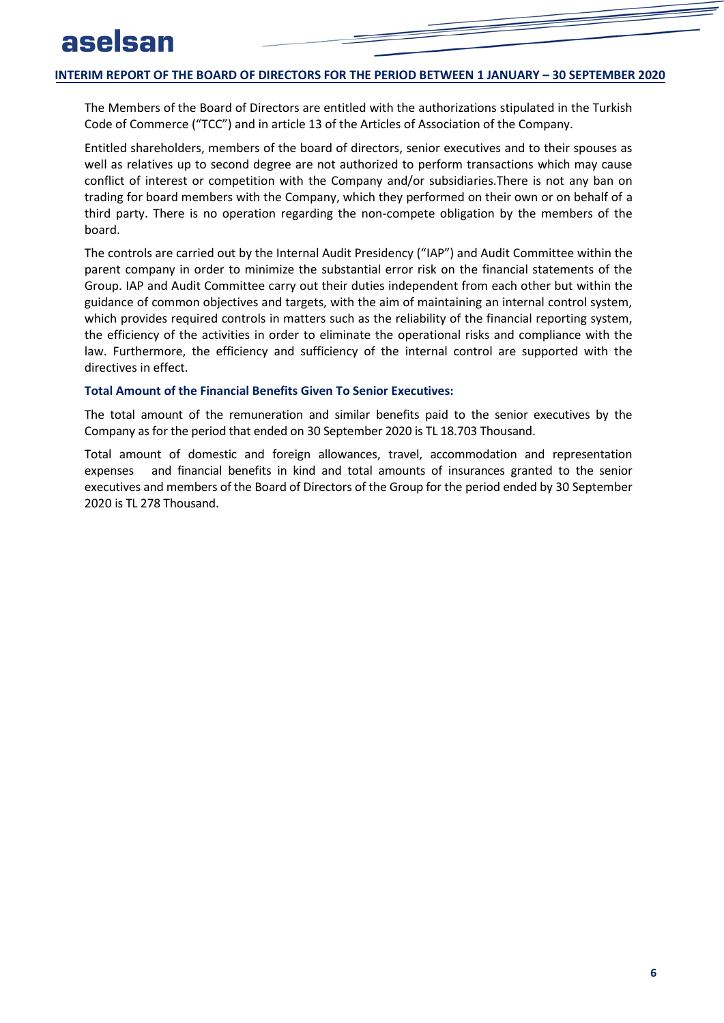The Members of the Board of Directors are entitled with the authorizations stipulated in the Turkish Code of Commerce ("TCC") and in article 13 of the Articles of Association of the Company.

Entitled shareholders, members of the board of directors, senior executives and to their spouses as well as relatives up to second degree are not authorized to perform transactions which may cause conflict of interest or competition with the Company and/or subsidiaries.There is not any ban on trading for board members with the Company, which they performed on their own or on behalf of a third party. There is no operation regarding the non-compete obligation by the members of the board.

The controls are carried out by the Internal Audit Presidency ("IAP") and Audit Committee within the parent company in order to minimize the substantial error risk on the financial statements of the Group. IAP and Audit Committee carry out their duties independent from each other but within the guidance of common objectives and targets, with the aim of maintaining an internal control system, which provides required controls in matters such as the reliability of the financial reporting system, the efficiency of the activities in order to eliminate the operational risks and compliance with the law. Furthermore, the efficiency and sufficiency of the internal control are supported with the directives in effect.

### **Total Amount of the Financial Benefits Given To Senior Executives:**

The total amount of the remuneration and similar benefits paid to the senior executives by the Company as for the period that ended on 30 September 2020 is TL 18.703 Thousand.

Total amount of domestic and foreign allowances, travel, accommodation and representation expenses and financial benefits in kind and total amounts of insurances granted to the senior executives and members of the Board of Directors of the Group for the period ended by 30 September 2020 is TL 278 Thousand.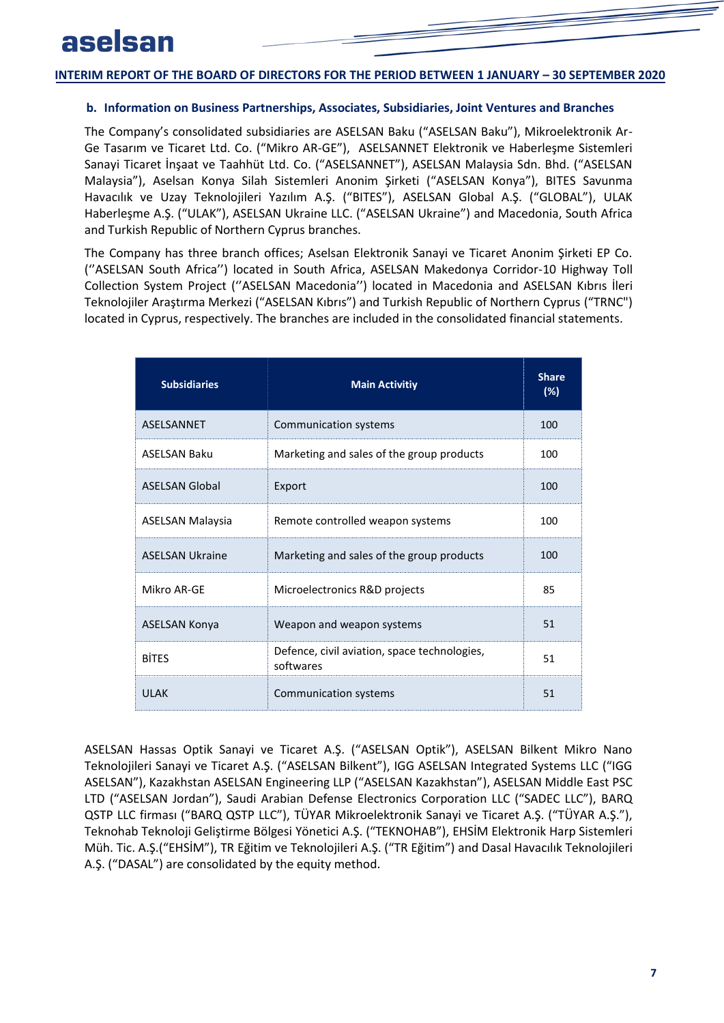### <span id="page-8-0"></span>**b. Information on Business Partnerships, Associates, Subsidiaries, Joint Ventures and Branches**

The Company's consolidated subsidiaries are ASELSAN Baku ("ASELSAN Baku"), Mikroelektronik Ar-Ge Tasarım ve Ticaret Ltd. Co. ("Mikro AR-GE"), ASELSANNET Elektronik ve Haberleşme Sistemleri Sanayi Ticaret İnşaat ve Taahhüt Ltd. Co. ("ASELSANNET"), ASELSAN Malaysia Sdn. Bhd. ("ASELSAN Malaysia"), Aselsan Konya Silah Sistemleri Anonim Şirketi ("ASELSAN Konya"), BITES Savunma Havacılık ve Uzay Teknolojileri Yazılım A.Ş. ("BITES"), ASELSAN Global A.Ş. ("GLOBAL"), ULAK Haberleşme A.Ş. ("ULAK"), ASELSAN Ukraine LLC. ("ASELSAN Ukraine") and Macedonia, South Africa and Turkish Republic of Northern Cyprus branches.

The Company has three branch offices; Aselsan Elektronik Sanayi ve Ticaret Anonim Şirketi EP Co. (''ASELSAN South Africa'') located in South Africa, ASELSAN Makedonya Corridor-10 Highway Toll Collection System Project (''ASELSAN Macedonia'') located in Macedonia and ASELSAN Kıbrıs İleri Teknolojiler Araştırma Merkezi ("ASELSAN Kıbrıs") and Turkish Republic of Northern Cyprus ("TRNC") located in Cyprus, respectively. The branches are included in the consolidated financial statements.

| <b>Subsidiaries</b>     | <b>Main Activitiy</b>                                     | <b>Share</b><br>(%) |
|-------------------------|-----------------------------------------------------------|---------------------|
| ASELSANNET              | Communication systems                                     | 100                 |
| <b>ASELSAN Baku</b>     | Marketing and sales of the group products                 | 100                 |
| <b>ASELSAN Global</b>   | Export                                                    | 100                 |
| <b>ASELSAN Malaysia</b> | Remote controlled weapon systems                          | 100                 |
| <b>ASELSAN Ukraine</b>  | Marketing and sales of the group products                 | 100                 |
| Mikro AR-GE             | Microelectronics R&D projects                             | 85                  |
| <b>ASELSAN Konya</b>    | Weapon and weapon systems                                 | 51                  |
| <b>BITES</b>            | Defence, civil aviation, space technologies,<br>softwares | 51                  |
| <b>ULAK</b>             | <b>Communication systems</b>                              | 51                  |

ASELSAN Hassas Optik Sanayi ve Ticaret A.Ş. ("ASELSAN Optik"), ASELSAN Bilkent Mikro Nano Teknolojileri Sanayi ve Ticaret A.Ş. ("ASELSAN Bilkent"), IGG ASELSAN Integrated Systems LLC ("IGG ASELSAN"), Kazakhstan ASELSAN Engineering LLP ("ASELSAN Kazakhstan"), ASELSAN Middle East PSC LTD ("ASELSAN Jordan"), Saudi Arabian Defense Electronics Corporation LLC ("SADEC LLC"), BARQ QSTP LLC firması ("BARQ QSTP LLC"), TÜYAR Mikroelektronik Sanayi ve Ticaret A.Ş. ("TÜYAR A.Ş."), Teknohab Teknoloji Geliştirme Bölgesi Yönetici A.Ş. ("TEKNOHAB"), EHSİM Elektronik Harp Sistemleri Müh. Tic. A.Ş.("EHSİM"), TR Eğitim ve Teknolojileri A.Ş. ("TR Eğitim") and Dasal Havacılık Teknolojileri A.Ş. ("DASAL") are consolidated by the equity method.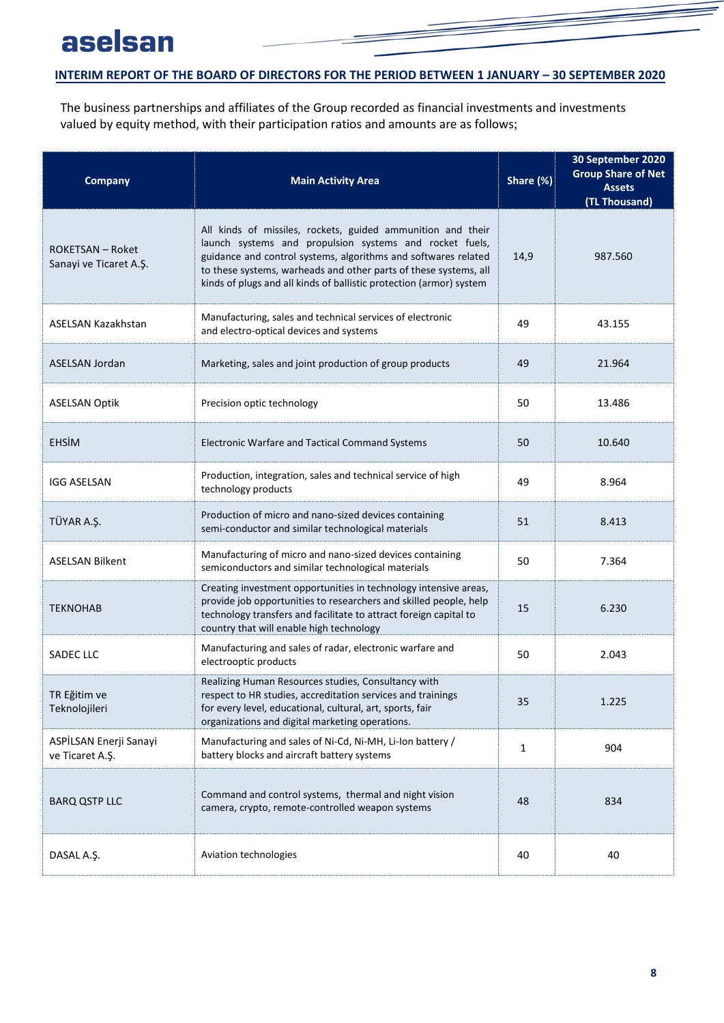The business partnerships and affiliates of the Group recorded as financial investments and investments valued by equity method, with their participation ratios and amounts are as follows;

| <b>Company</b>                             | <b>Main Activity Area</b>                                                                                                                                                                                                                                                                                                           | Share (%)    | 30 September 2020<br><b>Group Share of Net</b><br><b>Assets</b><br>(TL Thousand) |
|--------------------------------------------|-------------------------------------------------------------------------------------------------------------------------------------------------------------------------------------------------------------------------------------------------------------------------------------------------------------------------------------|--------------|----------------------------------------------------------------------------------|
| ROKETSAN – Roket<br>Sanayi ve Ticaret A.Ş. | All kinds of missiles, rockets, guided ammunition and their<br>launch systems and propulsion systems and rocket fuels,<br>guidance and control systems, algorithms and softwares related<br>to these systems, warheads and other parts of these systems, all<br>kinds of plugs and all kinds of ballistic protection (armor) system | 14,9         | 987.560                                                                          |
| ASELSAN Kazakhstan                         | Manufacturing, sales and technical services of electronic<br>and electro-optical devices and systems                                                                                                                                                                                                                                | 49           | 43.155                                                                           |
| ASELSAN Jordan                             | Marketing, sales and joint production of group products                                                                                                                                                                                                                                                                             | 49           | 21.964                                                                           |
| <b>ASELSAN Optik</b>                       | Precision optic technology                                                                                                                                                                                                                                                                                                          | 50           | 13.486                                                                           |
| <b>EHSİM</b>                               | Electronic Warfare and Tactical Command Systems                                                                                                                                                                                                                                                                                     | 50           | 10.640                                                                           |
| <b>IGG ASELSAN</b>                         | Production, integration, sales and technical service of high<br>technology products                                                                                                                                                                                                                                                 | 49           | 8.964                                                                            |
| TÜYAR A.Ş.                                 | Production of micro and nano-sized devices containing<br>semi-conductor and similar technological materials                                                                                                                                                                                                                         | 51           | 8.413                                                                            |
| <b>ASELSAN Bilkent</b>                     | Manufacturing of micro and nano-sized devices containing<br>semiconductors and similar technological materials                                                                                                                                                                                                                      | 50           | 7.364                                                                            |
| <b>TEKNOHAB</b>                            | Creating investment opportunities in technology intensive areas,<br>provide job opportunities to researchers and skilled people, help<br>technology transfers and facilitate to attract foreign capital to<br>country that will enable high technology                                                                              | 15           | 6.230                                                                            |
| <b>SADEC LLC</b>                           | Manufacturing and sales of radar, electronic warfare and<br>electrooptic products                                                                                                                                                                                                                                                   | 50           | 2.043                                                                            |
| TR Eğitim ve<br>Teknolojileri              | Realizing Human Resources studies, Consultancy with<br>respect to HR studies, accreditation services and trainings<br>for every level, educational, cultural, art, sports, fair<br>organizations and digital marketing operations.                                                                                                  | 35           | 1.225                                                                            |
| ASPİLSAN Enerji Sanayi<br>ve Ticaret A.Ş.  | Manufacturing and sales of Ni-Cd, Ni-MH, Li-Ion battery /<br>battery blocks and aircraft battery systems                                                                                                                                                                                                                            | $\mathbf{1}$ | 904                                                                              |
| <b>BARQ QSTP LLC</b>                       | Command and control systems, thermal and night vision<br>camera, crypto, remote-controlled weapon systems                                                                                                                                                                                                                           | 48           | 834                                                                              |
| DASAL A.Ş.                                 | Aviation technologies                                                                                                                                                                                                                                                                                                               | 40           | 40                                                                               |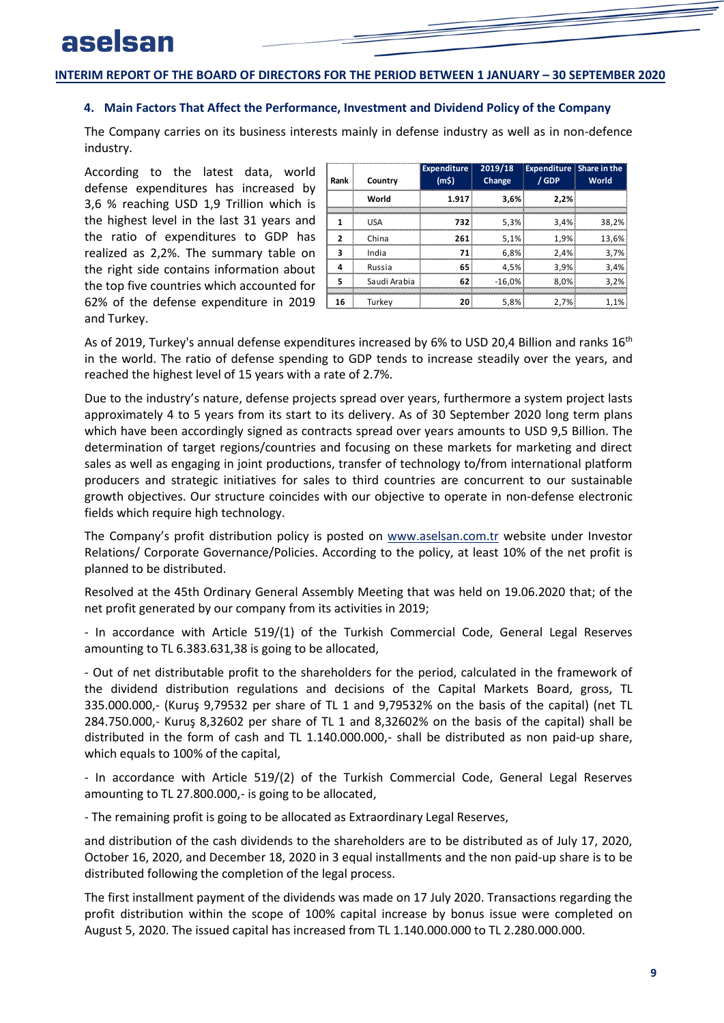### <span id="page-10-0"></span>**4. Main Factors That Affect the Performance, Investment and Dividend Policy of the Company**

The Company carries on its business interests mainly in defense industry as well as in non-defence industry.

According to the latest data, world defense expenditures has increased by 3,6 % reaching USD 1,9 Trillion which is the highest level in the last 31 years and the ratio of expenditures to GDP has realized as 2,2%. The summary table on the right side contains information about the top five countries which accounted for 62% of the defense expenditure in 2019 and Turkey.

| Rank | Country      | <b>Expenditure</b><br>(m5) | 2019/18<br>Change | <b>Expenditure Share in the</b><br>/ GDP | World |
|------|--------------|----------------------------|-------------------|------------------------------------------|-------|
|      | World        | 1.917                      | 3.6%              | 2.2%                                     |       |
|      | <b>USA</b>   | 732                        | 5.3%              | 3.4%                                     | 38.2% |
| 2    | China        | 261                        | 5,1%              | 1,9%                                     | 13.6% |
| 3    | India        | 71                         | 6.8%              | 2.4%                                     | 3.7%  |
| Δ    | Russia       | 65                         | 4.5%              | 3.9%                                     | 3,4%  |
| 5    | Saudi Arabia | 62                         | $-16.0%$          | 8.0%                                     | 3.2%  |
| 16   | Turkev       | 20                         | 5.8%              | 2.7%                                     | 1.1%  |

As of 2019, Turkey's annual defense expenditures increased by 6% to USD 20,4 Billion and ranks  $16^{\text{th}}$ in the world. The ratio of defense spending to GDP tends to increase steadily over the years, and reached the highest level of 15 years with a rate of 2.7%.

Due to the industry's nature, defense projects spread over years, furthermore a system project lasts approximately 4 to 5 years from its start to its delivery. As of 30 September 2020 long term plans which have been accordingly signed as contracts spread over years amounts to USD 9,5 Billion. The determination of target regions/countries and focusing on these markets for marketing and direct sales as well as engaging in joint productions, transfer of technology to/from international platform producers and strategic initiatives for sales to third countries are concurrent to our sustainable growth objectives. Our structure coincides with our objective to operate in non-defense electronic fields which require high technology.

The Company's profit distribution policy is posted on [www.aselsan.com.tr](http://www.aselsan.com.tr/) website under Investor Relations/ Corporate Governance/Policies. According to the policy, at least 10% of the net profit is planned to be distributed.

Resolved at the 45th Ordinary General Assembly Meeting that was held on 19.06.2020 that; of the net profit generated by our company from its activities in 2019;

- In accordance with Article 519/(1) of the Turkish Commercial Code, General Legal Reserves amounting to TL 6.383.631,38 is going to be allocated,

- Out of net distributable profit to the shareholders for the period, calculated in the framework of the dividend distribution regulations and decisions of the Capital Markets Board, gross, TL 335.000.000,- (Kuruş 9,79532 per share of TL 1 and 9,79532% on the basis of the capital) (net TL 284.750.000,- Kuruş 8,32602 per share of TL 1 and 8,32602% on the basis of the capital) shall be distributed in the form of cash and TL 1.140.000.000,- shall be distributed as non paid-up share, which equals to 100% of the capital,

- In accordance with Article 519/(2) of the Turkish Commercial Code, General Legal Reserves amounting to TL 27.800.000,- is going to be allocated,

- The remaining profit is going to be allocated as Extraordinary Legal Reserves,

and distribution of the cash dividends to the shareholders are to be distributed as of July 17, 2020, October 16, 2020, and December 18, 2020 in 3 equal installments and the non paid-up share is to be distributed following the completion of the legal process.

The first installment payment of the dividends was made on 17 July 2020. Transactions regarding the profit distribution within the scope of 100% capital increase by bonus issue were completed on August 5, 2020. The issued capital has increased from TL 1.140.000.000 to TL 2.280.000.000.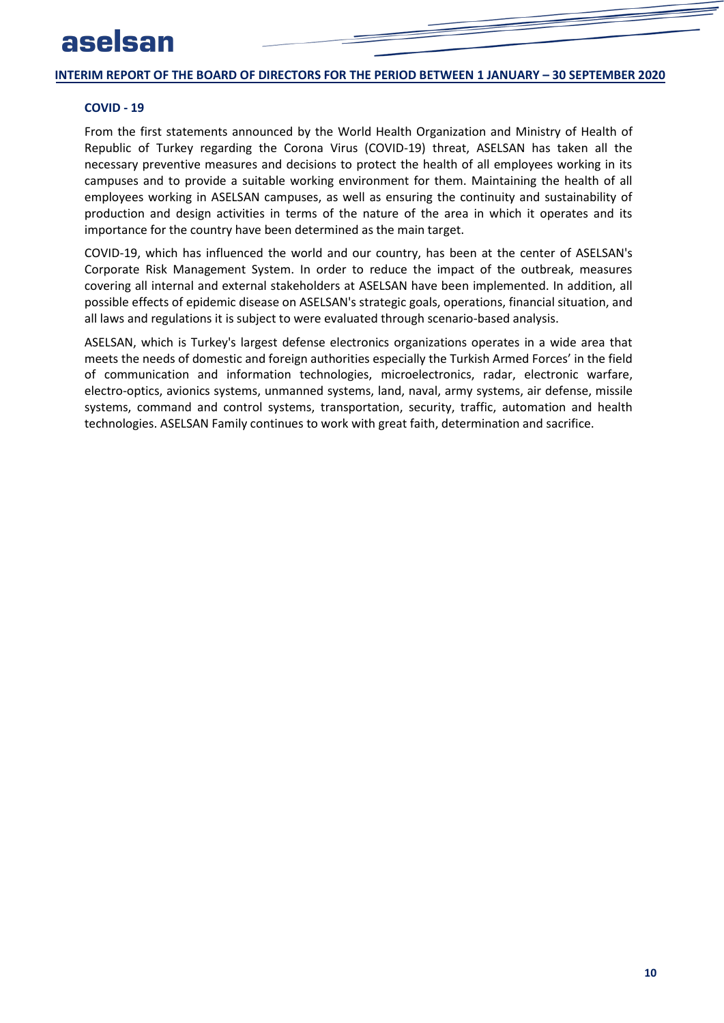### **COVID - 19**

From the first statements announced by the World Health Organization and Ministry of Health of Republic of Turkey regarding the Corona Virus (COVID-19) threat, ASELSAN has taken all the necessary preventive measures and decisions to protect the health of all employees working in its campuses and to provide a suitable working environment for them. Maintaining the health of all employees working in ASELSAN campuses, as well as ensuring the continuity and sustainability of production and design activities in terms of the nature of the area in which it operates and its importance for the country have been determined as the main target.

COVID-19, which has influenced the world and our country, has been at the center of ASELSAN's Corporate Risk Management System. In order to reduce the impact of the outbreak, measures covering all internal and external stakeholders at ASELSAN have been implemented. In addition, all possible effects of epidemic disease on ASELSAN's strategic goals, operations, financial situation, and all laws and regulations it is subject to were evaluated through scenario-based analysis.

ASELSAN, which is Turkey's largest defense electronics organizations operates in a wide area that meets the needs of domestic and foreign authorities especially the Turkish Armed Forces' in the field of communication and information technologies, microelectronics, radar, electronic warfare, electro-optics, avionics systems, unmanned systems, land, naval, army systems, air defense, missile systems, command and control systems, transportation, security, traffic, automation and health technologies. ASELSAN Family continues to work with great faith, determination and sacrifice.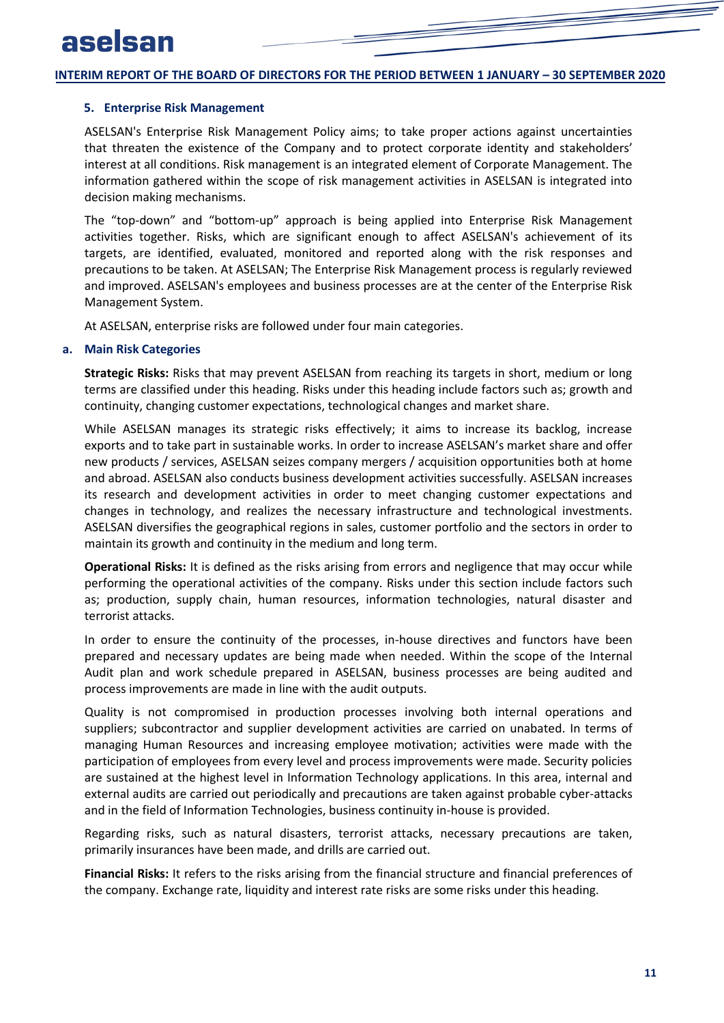### <span id="page-12-0"></span>**5. Enterprise Risk Management**

ASELSAN's Enterprise Risk Management Policy aims; to take proper actions against uncertainties that threaten the existence of the Company and to protect corporate identity and stakeholders' interest at all conditions. Risk management is an integrated element of Corporate Management. The information gathered within the scope of risk management activities in ASELSAN is integrated into decision making mechanisms.

The "top-down" and "bottom-up" approach is being applied into Enterprise Risk Management activities together. Risks, which are significant enough to affect ASELSAN's achievement of its targets, are identified, evaluated, monitored and reported along with the risk responses and precautions to be taken. At ASELSAN; The Enterprise Risk Management process is regularly reviewed and improved. ASELSAN's employees and business processes are at the center of the Enterprise Risk Management System.

<span id="page-12-1"></span>At ASELSAN, enterprise risks are followed under four main categories.

### **a. Main Risk Categories**

**Strategic Risks:** Risks that may prevent ASELSAN from reaching its targets in short, medium or long terms are classified under this heading. Risks under this heading include factors such as; growth and continuity, changing customer expectations, technological changes and market share.

While ASELSAN manages its strategic risks effectively; it aims to increase its backlog, increase exports and to take part in sustainable works. In order to increase ASELSAN's market share and offer new products / services, ASELSAN seizes company mergers / acquisition opportunities both at home and abroad. ASELSAN also conducts business development activities successfully. ASELSAN increases its research and development activities in order to meet changing customer expectations and changes in technology, and realizes the necessary infrastructure and technological investments. ASELSAN diversifies the geographical regions in sales, customer portfolio and the sectors in order to maintain its growth and continuity in the medium and long term.

**Operational Risks:** It is defined as the risks arising from errors and negligence that may occur while performing the operational activities of the company. Risks under this section include factors such as; production, supply chain, human resources, information technologies, natural disaster and terrorist attacks.

In order to ensure the continuity of the processes, in-house directives and functors have been prepared and necessary updates are being made when needed. Within the scope of the Internal Audit plan and work schedule prepared in ASELSAN, business processes are being audited and process improvements are made in line with the audit outputs.

Quality is not compromised in production processes involving both internal operations and suppliers; subcontractor and supplier development activities are carried on unabated. In terms of managing Human Resources and increasing employee motivation; activities were made with the participation of employees from every level and process improvements were made. Security policies are sustained at the highest level in Information Technology applications. In this area, internal and external audits are carried out periodically and precautions are taken against probable cyber-attacks and in the field of Information Technologies, business continuity in-house is provided.

Regarding risks, such as natural disasters, terrorist attacks, necessary precautions are taken, primarily insurances have been made, and drills are carried out.

**Financial Risks:** It refers to the risks arising from the financial structure and financial preferences of the company. Exchange rate, liquidity and interest rate risks are some risks under this heading.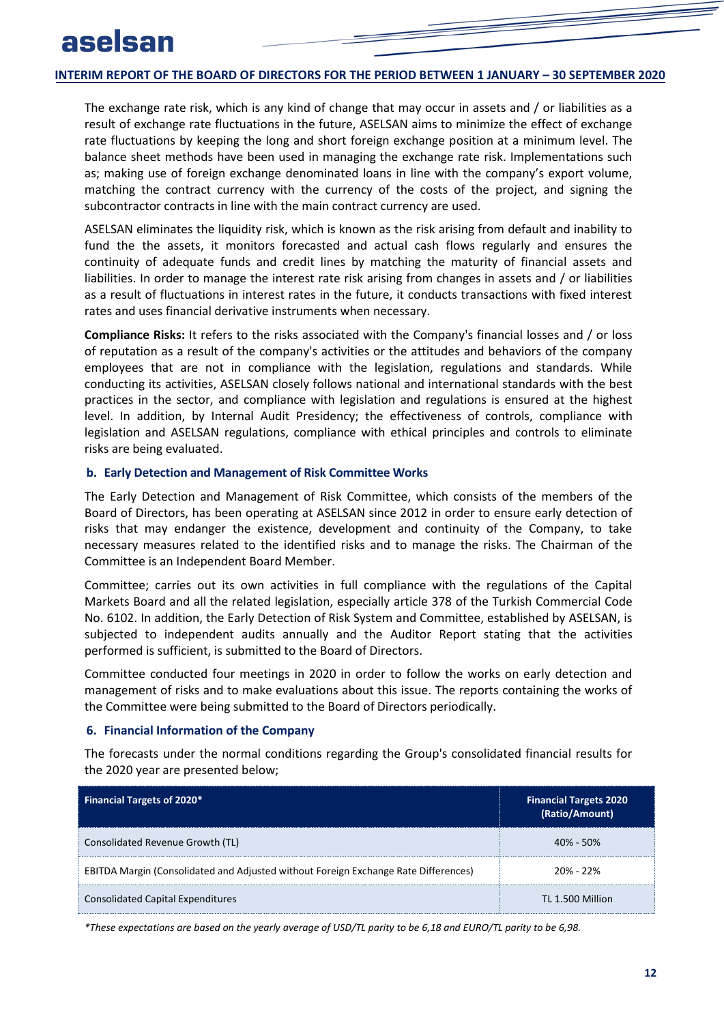The exchange rate risk, which is any kind of change that may occur in assets and / or liabilities as a result of exchange rate fluctuations in the future, ASELSAN aims to minimize the effect of exchange rate fluctuations by keeping the long and short foreign exchange position at a minimum level. The balance sheet methods have been used in managing the exchange rate risk. Implementations such as; making use of foreign exchange denominated loans in line with the company's export volume, matching the contract currency with the currency of the costs of the project, and signing the subcontractor contracts in line with the main contract currency are used.

ASELSAN eliminates the liquidity risk, which is known as the risk arising from default and inability to fund the the assets, it monitors forecasted and actual cash flows regularly and ensures the continuity of adequate funds and credit lines by matching the maturity of financial assets and liabilities. In order to manage the interest rate risk arising from changes in assets and / or liabilities as a result of fluctuations in interest rates in the future, it conducts transactions with fixed interest rates and uses financial derivative instruments when necessary.

**Compliance Risks:** It refers to the risks associated with the Company's financial losses and / or loss of reputation as a result of the company's activities or the attitudes and behaviors of the company employees that are not in compliance with the legislation, regulations and standards. While conducting its activities, ASELSAN closely follows national and international standards with the best practices in the sector, and compliance with legislation and regulations is ensured at the highest level. In addition, by Internal Audit Presidency; the effectiveness of controls, compliance with legislation and ASELSAN regulations, compliance with ethical principles and controls to eliminate risks are being evaluated.

### <span id="page-13-0"></span>**b. Early Detection and Management of Risk Committee Works**

The Early Detection and Management of Risk Committee, which consists of the members of the Board of Directors, has been operating at ASELSAN since 2012 in order to ensure early detection of risks that may endanger the existence, development and continuity of the Company, to take necessary measures related to the identified risks and to manage the risks. The Chairman of the Committee is an Independent Board Member.

Committee; carries out its own activities in full compliance with the regulations of the Capital Markets Board and all the related legislation, especially article 378 of the Turkish Commercial Code No. 6102. In addition, the Early Detection of Risk System and Committee, established by ASELSAN, is subjected to independent audits annually and the Auditor Report stating that the activities performed is sufficient, is submitted to the Board of Directors.

<span id="page-13-1"></span>Committee conducted four meetings in 2020 in order to follow the works on early detection and management of risks and to make evaluations about this issue. The reports containing the works of the Committee were being submitted to the Board of Directors periodically.

### **6. Financial Information of the Company**

The forecasts under the normal conditions regarding the Group's consolidated financial results for the 2020 year are presented below;

| <b>Financial Targets of 2020*</b>                                                   | <b>Financial Targets 2020</b><br>(Ratio/Amount) |
|-------------------------------------------------------------------------------------|-------------------------------------------------|
| Consolidated Revenue Growth (TL)                                                    | $40\% - 50\%$                                   |
| EBITDA Margin (Consolidated and Adjusted without Foreign Exchange Rate Differences) | $20% - 22%$                                     |
| <b>Consolidated Capital Expenditures</b>                                            | TL 1.500 Million                                |

*\*These expectations are based on the yearly average of USD/TL parity to be 6,18 and EURO/TL parity to be 6,98.*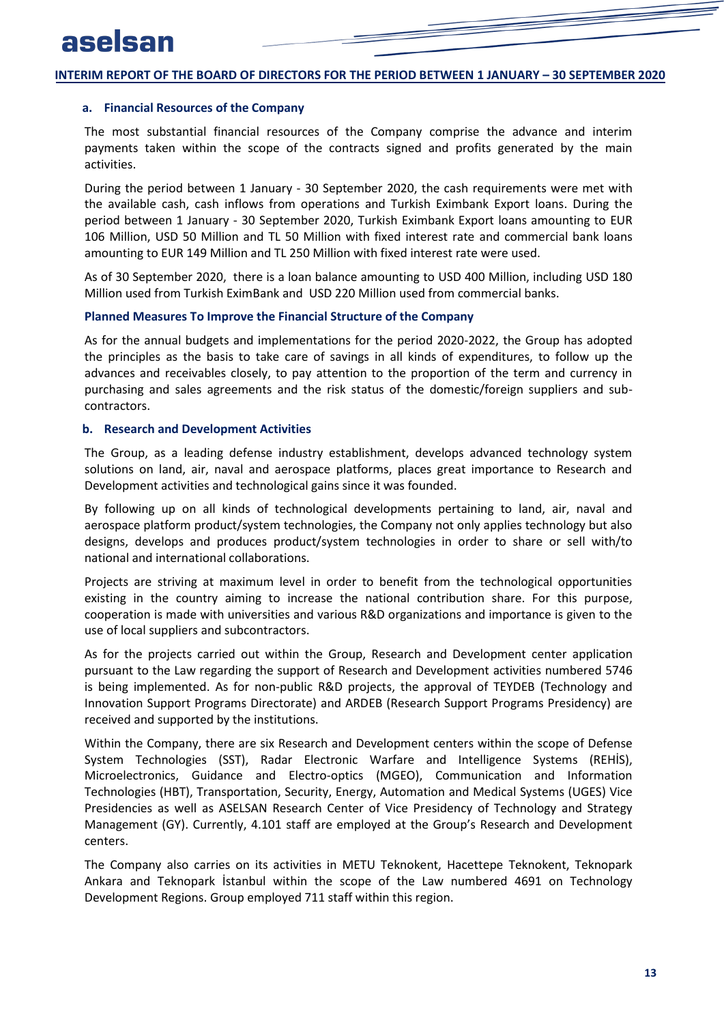### <span id="page-14-0"></span>**a. Financial Resources of the Company**

The most substantial financial resources of the Company comprise the advance and interim payments taken within the scope of the contracts signed and profits generated by the main activities.

During the period between 1 January - 30 September 2020, the cash requirements were met with the available cash, cash inflows from operations and Turkish Eximbank Export loans. During the period between 1 January - 30 September 2020, Turkish Eximbank Export loans amounting to EUR 106 Million, USD 50 Million and TL 50 Million with fixed interest rate and commercial bank loans amounting to EUR 149 Million and TL 250 Million with fixed interest rate were used.

As of 30 September 2020, there is a loan balance amounting to USD 400 Million, including USD 180 Million used from Turkish EximBank and USD 220 Million used from commercial banks.

### **Planned Measures To Improve the Financial Structure of the Company**

<span id="page-14-1"></span>As for the annual budgets and implementations for the period 2020-2022, the Group has adopted the principles as the basis to take care of savings in all kinds of expenditures, to follow up the advances and receivables closely, to pay attention to the proportion of the term and currency in purchasing and sales agreements and the risk status of the domestic/foreign suppliers and subcontractors.

### **b. Research and Development Activities**

The Group, as a leading defense industry establishment, develops advanced technology system solutions on land, air, naval and aerospace platforms, places great importance to Research and Development activities and technological gains since it was founded.

By following up on all kinds of technological developments pertaining to land, air, naval and aerospace platform product/system technologies, the Company not only applies technology but also designs, develops and produces product/system technologies in order to share or sell with/to national and international collaborations.

Projects are striving at maximum level in order to benefit from the technological opportunities existing in the country aiming to increase the national contribution share. For this purpose, cooperation is made with universities and various R&D organizations and importance is given to the use of local suppliers and subcontractors.

As for the projects carried out within the Group, Research and Development center application pursuant to the Law regarding the support of Research and Development activities numbered 5746 is being implemented. As for non-public R&D projects, the approval of TEYDEB (Technology and Innovation Support Programs Directorate) and ARDEB (Research Support Programs Presidency) are received and supported by the institutions.

Within the Company, there are six Research and Development centers within the scope of Defense System Technologies (SST), Radar Electronic Warfare and Intelligence Systems (REHİS), Microelectronics, Guidance and Electro-optics (MGEO), Communication and Information Technologies (HBT), Transportation, Security, Energy, Automation and Medical Systems (UGES) Vice Presidencies as well as ASELSAN Research Center of Vice Presidency of Technology and Strategy Management (GY). Currently, 4.101 staff are employed at the Group's Research and Development centers.

The Company also carries on its activities in METU Teknokent, Hacettepe Teknokent, Teknopark Ankara and Teknopark İstanbul within the scope of the Law numbered 4691 on Technology Development Regions. Group employed 711 staff within this region.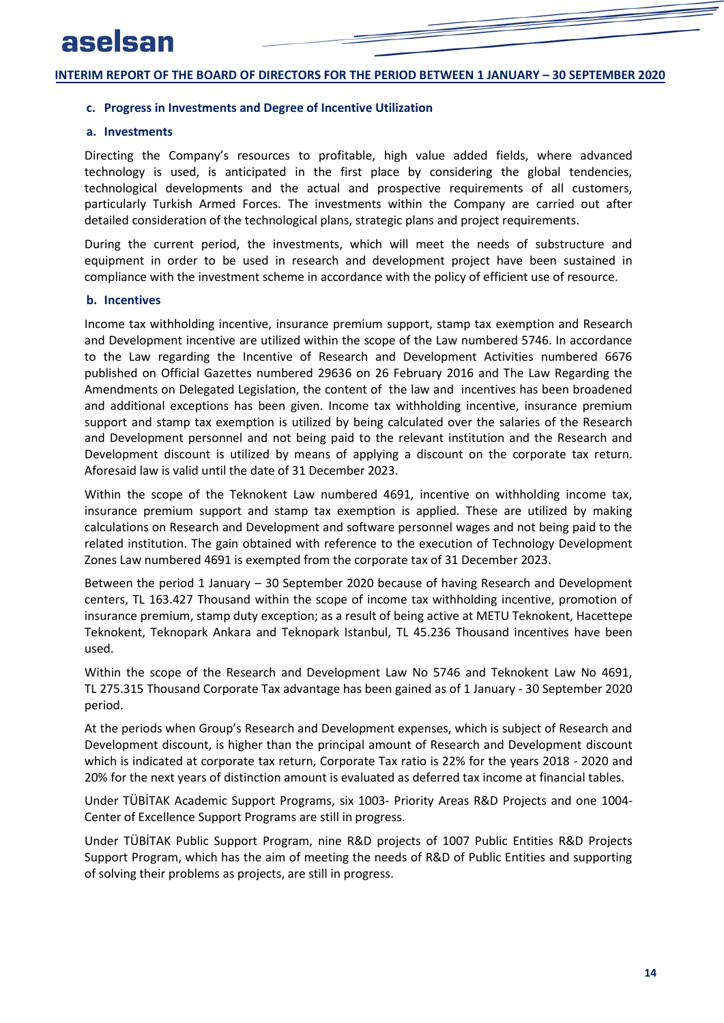### <span id="page-15-1"></span><span id="page-15-0"></span>**c. Progress in Investments and Degree of Incentive Utilization**

### **a. Investments**

Directing the Company's resources to profitable, high value added fields, where advanced technology is used, is anticipated in the first place by considering the global tendencies, technological developments and the actual and prospective requirements of all customers, particularly Turkish Armed Forces. The investments within the Company are carried out after detailed consideration of the technological plans, strategic plans and project requirements.

<span id="page-15-2"></span>During the current period, the investments, which will meet the needs of substructure and equipment in order to be used in research and development project have been sustained in compliance with the investment scheme in accordance with the policy of efficient use of resource.

### **b. Incentives**

Income tax withholding incentive, insurance premium support, stamp tax exemption and Research and Development incentive are utilized within the scope of the Law numbered 5746. In accordance to the Law regarding the Incentive of Research and Development Activities numbered 6676 published on Official Gazettes numbered 29636 on 26 February 2016 and The Law Regarding the Amendments on Delegated Legislation, the content of the law and incentives has been broadened and additional exceptions has been given. Income tax withholding incentive, insurance premium support and stamp tax exemption is utilized by being calculated over the salaries of the Research and Development personnel and not being paid to the relevant institution and the Research and Development discount is utilized by means of applying a discount on the corporate tax return. Aforesaid law is valid until the date of 31 December 2023.

Within the scope of the Teknokent Law numbered 4691, incentive on withholding income tax, insurance premium support and stamp tax exemption is applied. These are utilized by making calculations on Research and Development and software personnel wages and not being paid to the related institution. The gain obtained with reference to the execution of Technology Development Zones Law numbered 4691 is exempted from the corporate tax of 31 December 2023.

Between the period 1 January – 30 September 2020 because of having Research and Development centers, TL 163.427 Thousand within the scope of income tax withholding incentive, promotion of insurance premium, stamp duty exception; as a result of being active at METU Teknokent, Hacettepe Teknokent, Teknopark Ankara and Teknopark Istanbul, TL 45.236 Thousand incentives have been used.

Within the scope of the Research and Development Law No 5746 and Teknokent Law No 4691, TL 275.315 Thousand Corporate Tax advantage has been gained as of 1 January - 30 September 2020 period.

At the periods when Group's Research and Development expenses, which is subject of Research and Development discount, is higher than the principal amount of Research and Development discount which is indicated at corporate tax return, Corporate Tax ratio is 22% for the years 2018 - 2020 and 20% for the next years of distinction amount is evaluated as deferred tax income at financial tables.

Under TÜBİTAK Academic Support Programs, six 1003- Priority Areas R&D Projects and one 1004- Center of Excellence Support Programs are still in progress.

Under TÜBİTAK Public Support Program, nine R&D projects of 1007 Public Entities R&D Projects Support Program, which has the aim of meeting the needs of R&D of Public Entities and supporting of solving their problems as projects, are still in progress.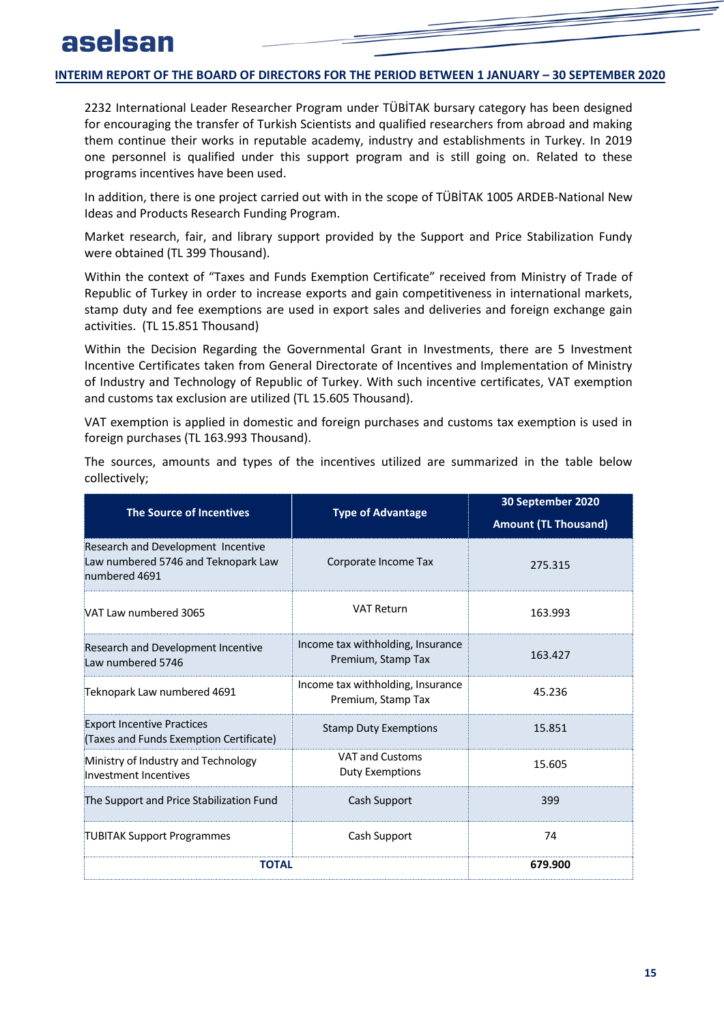2232 International Leader Researcher Program under TÜBİTAK bursary category has been designed for encouraging the transfer of Turkish Scientists and qualified researchers from abroad and making them continue their works in reputable academy, industry and establishments in Turkey. In 2019 one personnel is qualified under this support program and is still going on. Related to these programs incentives have been used.

In addition, there is one project carried out with in the scope of TÜBİTAK 1005 ARDEB-National New Ideas and Products Research Funding Program.

Market research, fair, and library support provided by the Support and Price Stabilization Fundy were obtained (TL 399 Thousand).

Within the context of "Taxes and Funds Exemption Certificate" received from Ministry of Trade of Republic of Turkey in order to increase exports and gain competitiveness in international markets, stamp duty and fee exemptions are used in export sales and deliveries and foreign exchange gain activities. (TL 15.851 Thousand)

Within the Decision Regarding the Governmental Grant in Investments, there are 5 Investment Incentive Certificates taken from General Directorate of Incentives and Implementation of Ministry of Industry and Technology of Republic of Turkey. With such incentive certificates, VAT exemption and customs tax exclusion are utilized (TL 15.605 Thousand).

VAT exemption is applied in domestic and foreign purchases and customs tax exemption is used in foreign purchases (TL 163.993 Thousand).

The sources, amounts and types of the incentives utilized are summarized in the table below collectively;

| <b>The Source of Incentives</b>                                                            | <b>Type of Advantage</b>                                | 30 September 2020           |
|--------------------------------------------------------------------------------------------|---------------------------------------------------------|-----------------------------|
|                                                                                            |                                                         | <b>Amount (TL Thousand)</b> |
| Research and Development Incentive<br>Law numbered 5746 and Teknopark Law<br>numbered 4691 | Corporate Income Tax                                    | 275.315                     |
| VAT Law numbered 3065                                                                      | <b>VAT Return</b>                                       | 163.993                     |
| Research and Development Incentive<br>Law numbered 5746                                    | Income tax withholding, Insurance<br>Premium, Stamp Tax | 163.427                     |
| Teknopark Law numbered 4691                                                                | Income tax withholding, Insurance<br>Premium, Stamp Tax | 45.236                      |
| <b>Export Incentive Practices</b><br>(Taxes and Funds Exemption Certificate)               | <b>Stamp Duty Exemptions</b>                            | 15.851                      |
| Ministry of Industry and Technology<br>Investment Incentives                               | <b>VAT and Customs</b><br><b>Duty Exemptions</b>        | 15.605                      |
| The Support and Price Stabilization Fund                                                   | Cash Support                                            | 399                         |
| <b>TUBITAK Support Programmes</b>                                                          | Cash Support                                            | 74                          |
| <b>TOTAL</b>                                                                               | 679.900                                                 |                             |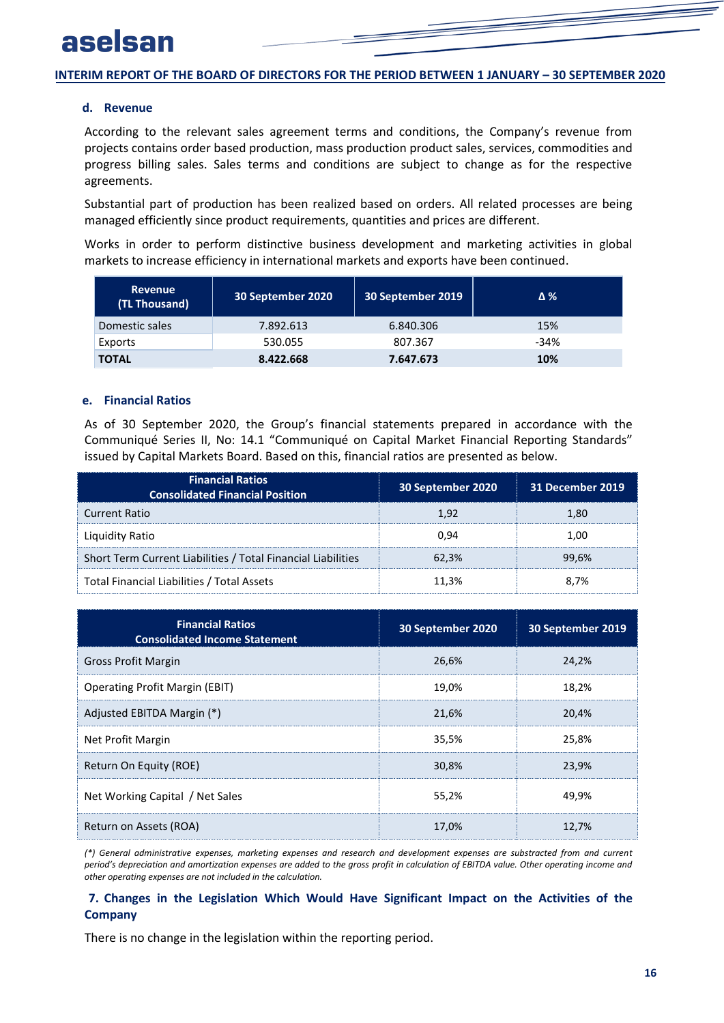### <span id="page-17-0"></span>**d. Revenue**

According to the relevant sales agreement terms and conditions, the Company's revenue from projects contains order based production, mass production product sales, services, commodities and progress billing sales. Sales terms and conditions are subject to change as for the respective agreements.

Substantial part of production has been realized based on orders. All related processes are being managed efficiently since product requirements, quantities and prices are different.

Works in order to perform distinctive business development and marketing activities in global markets to increase efficiency in international markets and exports have been continued.

<span id="page-17-1"></span>

| <b>Revenue</b><br>(TL Thousand) | 30 September 2020 | 30 September 2019 | Δ%     |
|---------------------------------|-------------------|-------------------|--------|
| Domestic sales                  | 7.892.613         | 6.840.306         | 15%    |
| Exports                         | 530.055           | 807.367           | $-34%$ |
| <b>TOTAL</b>                    | 8.422.668         | 7.647.673         | 10%    |

### **e. Financial Ratios**

As of 30 September 2020, the Group's financial statements prepared in accordance with the Communiqué Series II, No: 14.1 "Communiqué on Capital Market Financial Reporting Standards" issued by Capital Markets Board. Based on this, financial ratios are presented as below.

| <b>Financial Ratios</b><br><b>Consolidated Financial Position</b> | 30 September 2020 | <b>31 December 2019</b> |
|-------------------------------------------------------------------|-------------------|-------------------------|
| <b>Current Ratio</b>                                              | 1.92              | 1.80                    |
| Liquidity Ratio                                                   | በ.ዓ4              | 1.00                    |
| Short Term Current Liabilities / Total Financial Liabilities      | 62.3%             | 99.6%                   |
| Total Financial Liabilities / Total Assets                        | 11.3%             | 8.7%                    |

| <b>Financial Ratios</b><br><b>Consolidated Income Statement</b> | 30 September 2020 | 30 September 2019 |
|-----------------------------------------------------------------|-------------------|-------------------|
| <b>Gross Profit Margin</b>                                      | 26.6%             | 24,2%             |
| <b>Operating Profit Margin (EBIT)</b>                           | 19,0%             | 18,2%             |
| Adjusted EBITDA Margin (*)                                      | 21.6%             | 20.4%             |
| Net Profit Margin                                               | 35,5%             | 25,8%             |
| Return On Equity (ROE)                                          | 30,8%             | 23,9%             |
| Net Working Capital / Net Sales                                 | 55,2%             | 49,9%             |
| Return on Assets (ROA)                                          | 17.0%             | 12,7%             |

<span id="page-17-2"></span>*(\*) General administrative expenses, marketing expenses and research and development expenses are substracted from and current period's depreciation and amortization expenses are added to the gross profit in calculation of EBITDA value. Other operating income and other operating expenses are not included in the calculation.*

### **7. Changes in the Legislation Which Would Have Significant Impact on the Activities of the Company**

There is no change in the legislation within the reporting period.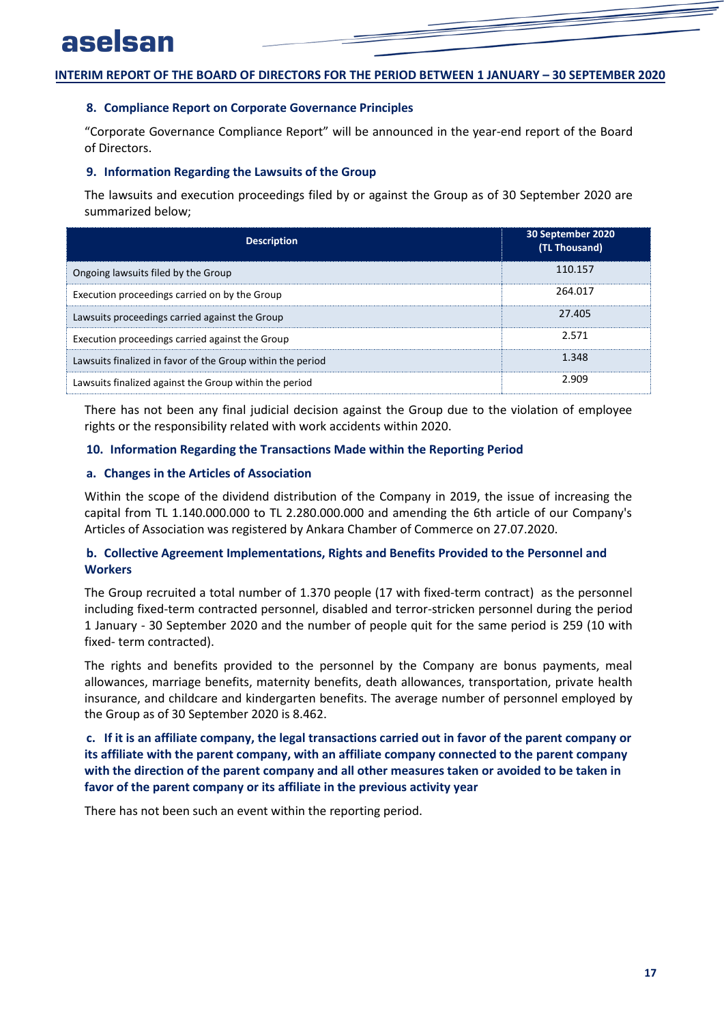### <span id="page-18-1"></span><span id="page-18-0"></span>**8. Compliance Report on Corporate Governance Principles**

"Corporate Governance Compliance Report" will be announced in the year-end report of the Board of Directors.

### **9. Information Regarding the Lawsuits of the Group**

The lawsuits and execution proceedings filed by or against the Group as of 30 September 2020 are summarized below;

| <b>Description</b>                                         | 30 September 2020<br>(TL Thousand) |
|------------------------------------------------------------|------------------------------------|
| Ongoing lawsuits filed by the Group                        | 110.157                            |
| Execution proceedings carried on by the Group              | 264.017                            |
| Lawsuits proceedings carried against the Group             | 27.405                             |
| Execution proceedings carried against the Group            | 2.571                              |
| Lawsuits finalized in favor of the Group within the period | 1.348                              |
| Lawsuits finalized against the Group within the period     | 2.909                              |

<span id="page-18-3"></span><span id="page-18-2"></span>There has not been any final judicial decision against the Group due to the violation of employee rights or the responsibility related with work accidents within 2020.

### **10. Information Regarding the Transactions Made within the Reporting Period**

### **a. Changes in the Articles of Association**

<span id="page-18-4"></span>Within the scope of the dividend distribution of the Company in 2019, the issue of increasing the capital from TL 1.140.000.000 to TL 2.280.000.000 and amending the 6th article of our Company's Articles of Association was registered by Ankara Chamber of Commerce on 27.07.2020.

### **b. Collective Agreement Implementations, Rights and Benefits Provided to the Personnel and Workers**

The Group recruited a total number of 1.370 people (17 with fixed-term contract) as the personnel including fixed-term contracted personnel, disabled and terror-stricken personnel during the period 1 January - 30 September 2020 and the number of people quit for the same period is 259 (10 with fixed- term contracted).

<span id="page-18-5"></span>The rights and benefits provided to the personnel by the Company are bonus payments, meal allowances, marriage benefits, maternity benefits, death allowances, transportation, private health insurance, and childcare and kindergarten benefits. The average number of personnel employed by the Group as of 30 September 2020 is 8.462.

### **c. If it is an affiliate company, the legal transactions carried out in favor of the parent company or its affiliate with the parent company, with an affiliate company connected to the parent company with the direction of the parent company and all other measures taken or avoided to be taken in favor of the parent company or its affiliate in the previous activity year**

There has not been such an event within the reporting period.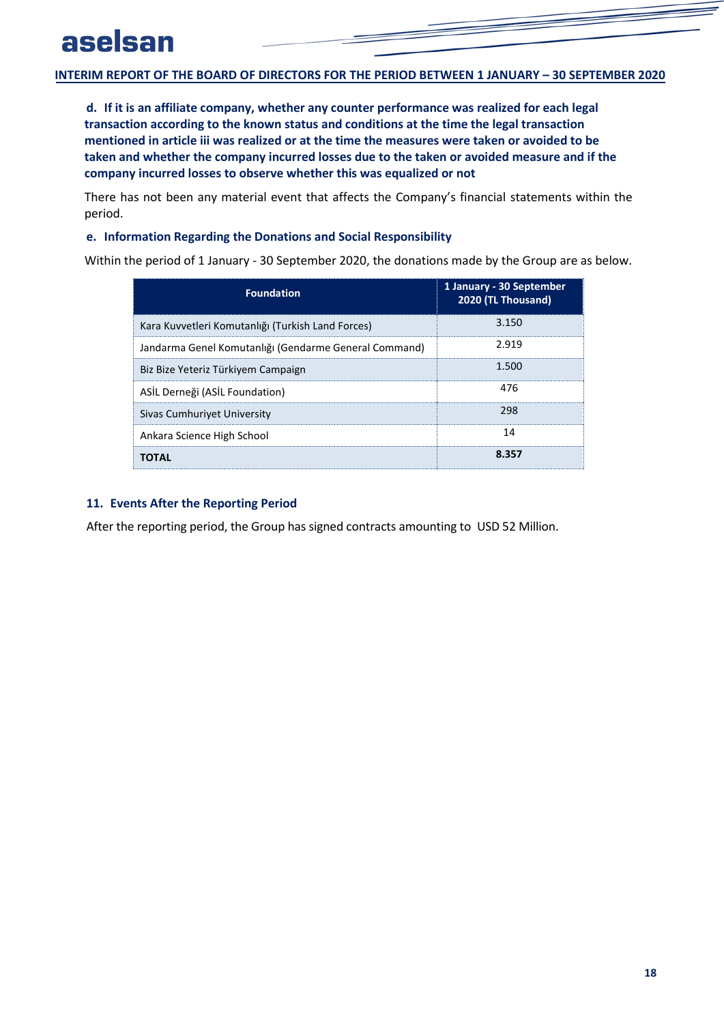<span id="page-19-0"></span>**d. If it is an affiliate company, whether any counter performance was realized for each legal transaction according to the known status and conditions at the time the legal transaction mentioned in article iii was realized or at the time the measures were taken or avoided to be taken and whether the company incurred losses due to the taken or avoided measure and if the company incurred losses to observe whether this was equalized or not**

<span id="page-19-1"></span>There has not been any material event that affects the Company's financial statements within the period.

### **e. Information Regarding the Donations and Social Responsibility**

Within the period of 1 January - 30 September 2020, the donations made by the Group are as below.

| <b>Foundation</b>                                     | 1 January - 30 September<br>2020 (TL Thousand) |
|-------------------------------------------------------|------------------------------------------------|
| Kara Kuvvetleri Komutanlığı (Turkish Land Forces)     | 3.150                                          |
| Jandarma Genel Komutanlığı (Gendarme General Command) | 2.919                                          |
| Biz Bize Yeteriz Türkiyem Campaign                    | 1.500                                          |
| ASİL Derneği (ASİL Foundation)                        | 476                                            |
| Sivas Cumhurivet University                           | 298                                            |
| Ankara Science High School                            | 14                                             |
| ΤΩΤΔΙ                                                 | 8.357                                          |

### <span id="page-19-2"></span>**11. Events After the Reporting Period**

After the reporting period, the Group has signed contracts amounting to USD 52 Million.